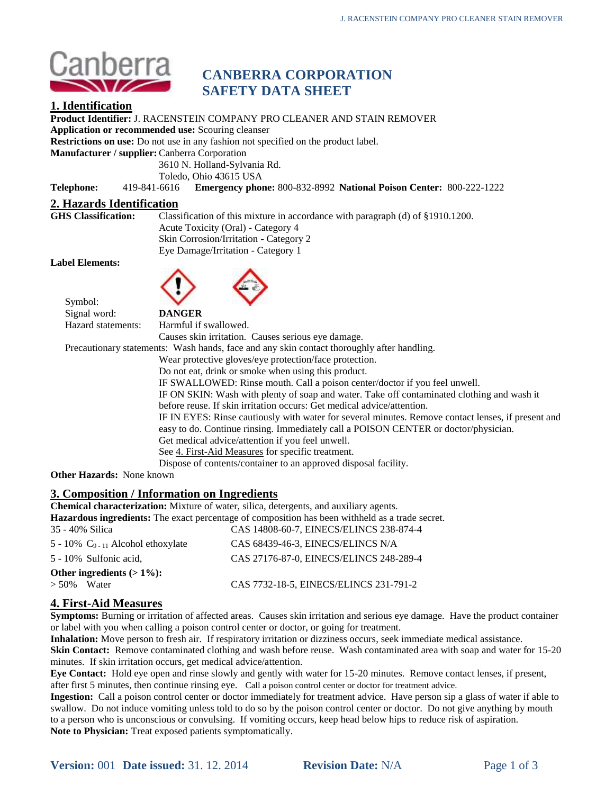

# **CANBERRA CORPORATION SAFETY DATA SHEET**

# **1. Identification**

**Product Identifier:** J. RACENSTEIN COMPANY PRO CLEANER AND STAIN REMOVER **Application or recommended use:** Scouring cleanser **Restrictions on use:** Do not use in any fashion not specified on the product label. **Manufacturer / supplier:**Canberra Corporation 3610 N. Holland-Sylvania Rd. Toledo, Ohio 43615 USA **Telephone:** 419-841-6616 **Emergency phone:** 800-832-8992 **National Poison Center:** 800-222-1222 **2. Hazards Identification** Classification of this mixture in accordance with paragraph (d) of §1910.1200. Acute Toxicity (Oral) - Category 4 Skin Corrosion/Irritation - Category 2 Eye Damage/Irritation - Category 1 **Label Elements:** Symbol: Signal word: **DANGER** Hazard statements: Harmful if swallowed. Causes skin irritation. Causes serious eye damage. Precautionary statements: Wash hands, face and any skin contact thoroughly after handling. Wear protective gloves/eye protection/face protection. Do not eat, drink or smoke when using this product. IF SWALLOWED: Rinse mouth. Call a poison center/doctor if you feel unwell. IF ON SKIN: Wash with plenty of soap and water. Take off contaminated clothing and wash it before reuse. If skin irritation occurs: Get medical advice/attention. IF IN EYES: Rinse cautiously with water for several minutes. Remove contact lenses, if present and easy to do. Continue rinsing. Immediately call a POISON CENTER or doctor/physician. Get medical advice/attention if you feel unwell. See 4. First-Aid Measures for specific treatment. Dispose of contents/container to an approved disposal facility. **Other Hazards:** None known

# **3. Composition / Information on Ingredients**

**Chemical characterization:** Mixture of water, silica, detergents, and auxiliary agents.

**Hazardous ingredients:** The exact percentage of composition has been withheld as a trade secret.

| 35 - 40% Silica                                   | CAS 14808-60-7, EINECS/ELINCS 238-874-4 |  |  |
|---------------------------------------------------|-----------------------------------------|--|--|
| $5 - 10\%$ C <sub>9 - 11</sub> Alcohol ethoxylate | CAS 68439-46-3. EINECS/ELINCS N/A       |  |  |
| 5 - 10% Sulfonic acid,                            | CAS 27176-87-0, EINECS/ELINCS 248-289-4 |  |  |
| Other ingredients $(>1\%)$ :                      |                                         |  |  |
| $> 50\%$ Water                                    | CAS 7732-18-5, EINECS/ELINCS 231-791-2  |  |  |
|                                                   |                                         |  |  |

# **4. First-Aid Measures**

**Symptoms:** Burning or irritation of affected areas. Causes skin irritation and serious eye damage. Have the product container or label with you when calling a poison control center or doctor, or going for treatment.

**Inhalation:** Move person to fresh air. If respiratory irritation or dizziness occurs, seek immediate medical assistance.

**Skin Contact:** Remove contaminated clothing and wash before reuse. Wash contaminated area with soap and water for 15-20 minutes. If skin irritation occurs, get medical advice/attention.

**Eye Contact:** Hold eye open and rinse slowly and gently with water for 15-20 minutes. Remove contact lenses, if present, after first 5 minutes, then continue rinsing eye. Call a poison control center or doctor for treatment advice.

**Ingestion:** Call a poison control center or doctor immediately for treatment advice. Have person sip a glass of water if able to swallow. Do not induce vomiting unless told to do so by the poison control center or doctor. Do not give anything by mouth to a person who is unconscious or convulsing. If vomiting occurs, keep head below hips to reduce risk of aspiration. **Note to Physician:** Treat exposed patients symptomatically.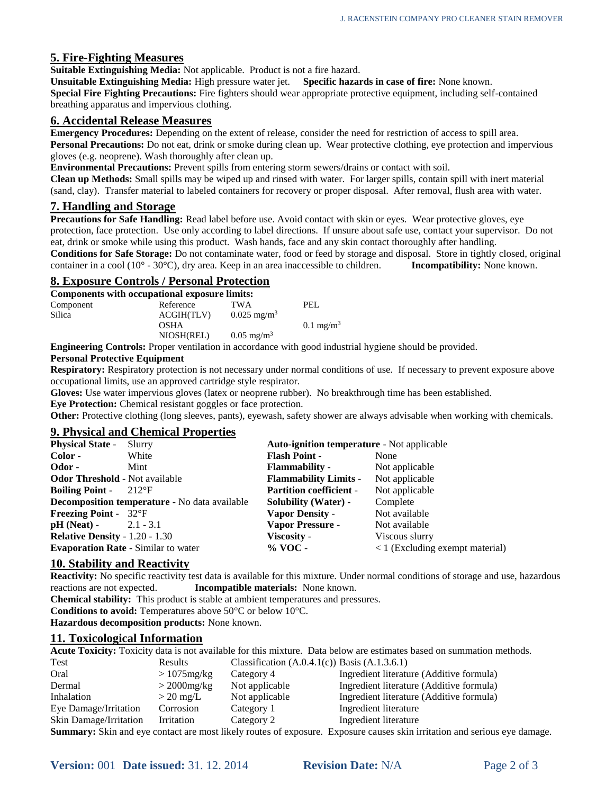# **5. Fire-Fighting Measures**

**Suitable Extinguishing Media:** Not applicable. Product is not a fire hazard.

**Unsuitable Extinguishing Media:** High pressure water jet. **Specific hazards in case of fire:** None known. **Special Fire Fighting Precautions:** Fire fighters should wear appropriate protective equipment, including self-contained breathing apparatus and impervious clothing.

### **6. Accidental Release Measures**

**Emergency Procedures:** Depending on the extent of release, consider the need for restriction of access to spill area. **Personal Precautions:** Do not eat, drink or smoke during clean up. Wear protective clothing, eye protection and impervious gloves (e.g. neoprene). Wash thoroughly after clean up.

**Environmental Precautions:** Prevent spills from entering storm sewers/drains or contact with soil.

**Clean up Methods:** Small spills may be wiped up and rinsed with water. For larger spills, contain spill with inert material (sand, clay). Transfer material to labeled containers for recovery or proper disposal. After removal, flush area with water.

# **7. Handling and Storage**

**Precautions for Safe Handling:** Read label before use. Avoid contact with skin or eyes. Wear protective gloves, eye protection, face protection. Use only according to label directions. If unsure about safe use, contact your supervisor. Do not eat, drink or smoke while using this product. Wash hands, face and any skin contact thoroughly after handling.

**Conditions for Safe Storage:** Do not contaminate water, food or feed by storage and disposal. Store in tightly closed, original container in a cool (10° - 30°C), dry area. Keep in an area inaccessible to children. **Incompatibility:** None known.

### **8. Exposure Controls / Personal Protection**

| Components with occupational exposure limits: |             |                        |                      |
|-----------------------------------------------|-------------|------------------------|----------------------|
| Component                                     | Reference   | <b>TWA</b>             | PEL.                 |
| Silica                                        | ACGIH(TLV)  | $0.025 \text{ mg/m}^3$ |                      |
|                                               | <b>OSHA</b> |                        | $0.1 \text{ mg/m}^3$ |
|                                               | NIOSH(REL)  | $0.05 \text{ mg/m}^3$  |                      |
|                                               |             |                        |                      |

**Engineering Controls:** Proper ventilation in accordance with good industrial hygiene should be provided.

### **Personal Protective Equipment**

**Respiratory:** Respiratory protection is not necessary under normal conditions of use.If necessary to prevent exposure above occupational limits, use an approved cartridge style respirator.

**Gloves:** Use water impervious gloves (latex or neoprene rubber). No breakthrough time has been established.

**Eye Protection:** Chemical resistant goggles or face protection.

**Other:** Protective clothing (long sleeves, pants), eyewash, safety shower are always advisable when working with chemicals.

### **9. Physical and Chemical Properties**

| Color -<br><b>Flash Point -</b><br>White<br>None<br>Odor -<br>Not applicable<br><b>Flammability</b> -<br>Mint<br><b>Odor Threshold - Not available</b><br><b>Flammability Limits -</b><br>Not applicable<br><b>Partition coefficient -</b><br>Not applicable<br><b>Boiling Point -</b><br>$-212$ <sup>o</sup> F<br><b>Decomposition temperature - No data available</b><br>Complete<br><b>Solubility (Water)</b> -<br>Not available<br><b>Freezing Point - 32°F</b><br><b>Vapor Density -</b><br><b>Vapor Pressure -</b><br>$pH (Neat) - 2.1 - 3.1$<br>Not available<br><b>Relative Density - 1.20 - 1.30</b><br>Viscosity -<br>Viscous slurry | <b>Physical State -</b> | Slurry | <b>Auto-ignition temperature - Not applicable</b> |                                   |
|------------------------------------------------------------------------------------------------------------------------------------------------------------------------------------------------------------------------------------------------------------------------------------------------------------------------------------------------------------------------------------------------------------------------------------------------------------------------------------------------------------------------------------------------------------------------------------------------------------------------------------------------|-------------------------|--------|---------------------------------------------------|-----------------------------------|
|                                                                                                                                                                                                                                                                                                                                                                                                                                                                                                                                                                                                                                                |                         |        |                                                   |                                   |
|                                                                                                                                                                                                                                                                                                                                                                                                                                                                                                                                                                                                                                                |                         |        |                                                   |                                   |
|                                                                                                                                                                                                                                                                                                                                                                                                                                                                                                                                                                                                                                                |                         |        |                                                   |                                   |
|                                                                                                                                                                                                                                                                                                                                                                                                                                                                                                                                                                                                                                                |                         |        |                                                   |                                   |
|                                                                                                                                                                                                                                                                                                                                                                                                                                                                                                                                                                                                                                                |                         |        |                                                   |                                   |
|                                                                                                                                                                                                                                                                                                                                                                                                                                                                                                                                                                                                                                                |                         |        |                                                   |                                   |
|                                                                                                                                                                                                                                                                                                                                                                                                                                                                                                                                                                                                                                                |                         |        |                                                   |                                   |
|                                                                                                                                                                                                                                                                                                                                                                                                                                                                                                                                                                                                                                                |                         |        |                                                   |                                   |
| <b>Evaporation Rate - Similar to water</b><br>$%$ VOC -                                                                                                                                                                                                                                                                                                                                                                                                                                                                                                                                                                                        |                         |        |                                                   | $<$ 1 (Excluding exempt material) |

### **10. Stability and Reactivity**

**Reactivity:** No specific reactivity test data is available for this mixture. Under normal conditions of storage and use, hazardous reactions are not expected. **Incompatible materials:** None known.

**Chemical stability:** This product is stable at ambient temperatures and pressures. **Conditions to avoid:** Temperatures above 50°C or below 10°C.

**Hazardous decomposition products:** None known.

### **11. Toxicological Information**

**Acute Toxicity:** Toxicity data is not available for this mixture. Data below are estimates based on summation methods.  $T_{\text{ext}}$   $\qquad \qquad \text{D}$   $\qquad \qquad \text{C}$   $\qquad \qquad \text{C}$   $\qquad \qquad \text{C}$   $\qquad \qquad \text{C}$   $\qquad \qquad \text{C}$   $\qquad \qquad \text{C}$   $\qquad \qquad \text{C}$   $\qquad \qquad \text{C}$   $\qquad \qquad \text{C}$   $\qquad \qquad \text{C}$   $\qquad \qquad \text{C}$   $\qquad \qquad \text{C}$   $\qquad \qquad \text{C}$   $\qquad \qquad \text{C}$ 

| rest                   | results             | Classification $(A.0.4.1(C))$ Dasis $(A.1.3.0.1)$ |                                                                                                                           |
|------------------------|---------------------|---------------------------------------------------|---------------------------------------------------------------------------------------------------------------------------|
| Oral                   | $>1075$ mg/kg       | Category 4                                        | Ingredient literature (Additive formula)                                                                                  |
| Dermal                 | $>$ 2000mg/kg       | Not applicable                                    | Ingredient literature (Additive formula)                                                                                  |
| Inhalation             | $> 20 \text{ mg/L}$ | Not applicable                                    | Ingredient literature (Additive formula)                                                                                  |
| Eye Damage/Irritation  | Corrosion           | Category 1                                        | Ingredient literature                                                                                                     |
| Skin Damage/Irritation | Irritation          | Category 2                                        | Ingredient literature                                                                                                     |
|                        |                     |                                                   | Summary: Skin and eye contact are most likely routes of exposure. Exposure causes skin irritation and serious eye damage. |